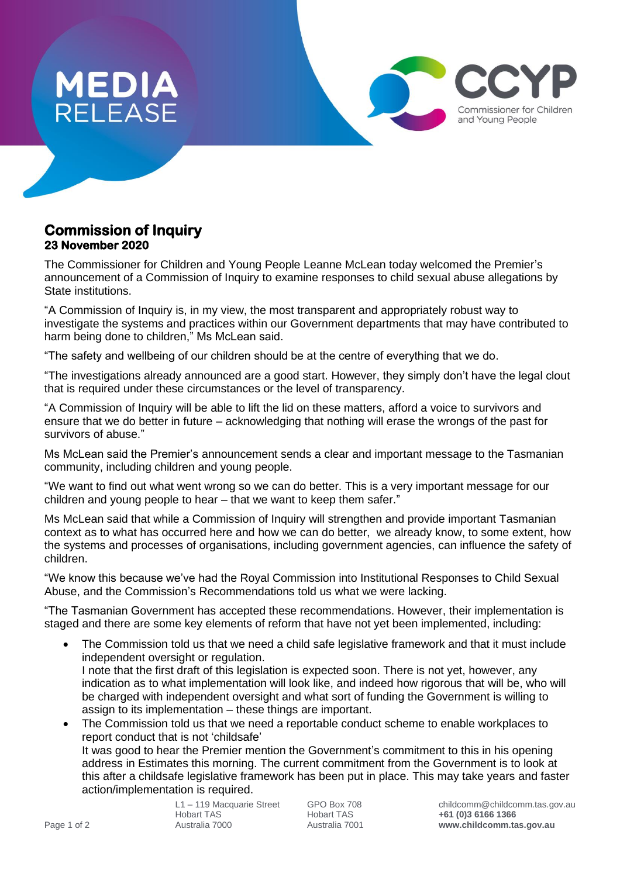

## **Commission of Inquiry 23 November 2020**

The Commissioner for Children and Young People Leanne McLean today welcomed the Premier's announcement of a Commission of Inquiry to examine responses to child sexual abuse allegations by State institutions.

"A Commission of Inquiry is, in my view, the most transparent and appropriately robust way to investigate the systems and practices within our Government departments that may have contributed to harm being done to children," Ms McLean said.

"The safety and wellbeing of our children should be at the centre of everything that we do.

"The investigations already announced are a good start. However, they simply don't have the legal clout that is required under these circumstances or the level of transparency.

"A Commission of Inquiry will be able to lift the lid on these matters, afford a voice to survivors and ensure that we do better in future – acknowledging that nothing will erase the wrongs of the past for survivors of abuse."

Ms McLean said the Premier's announcement sends a clear and important message to the Tasmanian community, including children and young people.

"We want to find out what went wrong so we can do better. This is a very important message for our children and young people to hear – that we want to keep them safer."

Ms McLean said that while a Commission of Inquiry will strengthen and provide important Tasmanian context as to what has occurred here and how we can do better, we already know, to some extent, how the systems and processes of organisations, including government agencies, can influence the safety of children.

"We know this because we've had the Royal Commission into Institutional Responses to Child Sexual Abuse, and the Commission's Recommendations told us what we were lacking.

"The Tasmanian Government has accepted these recommendations. However, their implementation is staged and there are some key elements of reform that have not yet been implemented, including:

- The Commission told us that we need a child safe legislative framework and that it must include independent oversight or regulation. I note that the first draft of this legislation is expected soon. There is not yet, however, any indication as to what implementation will look like, and indeed how rigorous that will be, who will be charged with independent oversight and what sort of funding the Government is willing to assign to its implementation – these things are important.
- The Commission told us that we need a reportable conduct scheme to enable workplaces to report conduct that is not 'childsafe'

It was good to hear the Premier mention the Government's commitment to this in his opening address in Estimates this morning. The current commitment from the Government is to look at this after a childsafe legislative framework has been put in place. This may take years and faster action/implementation is required.

Commissioner for Children and Young People